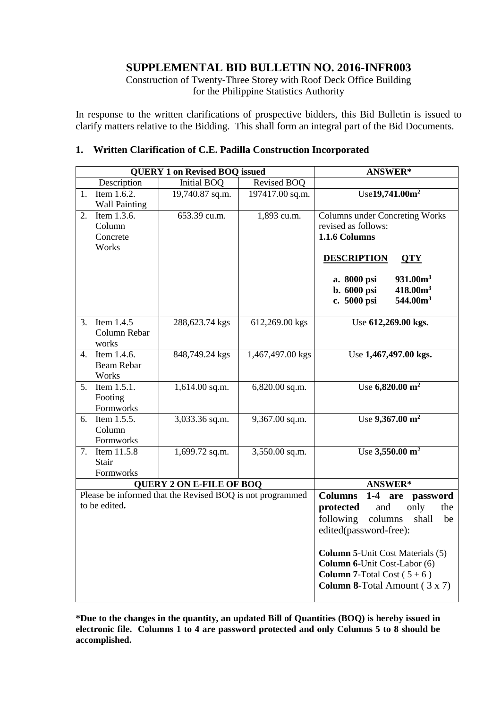# **SUPPLEMENTAL BID BULLETIN NO. 2016-INFR003**

Construction of Twenty-Three Storey with Roof Deck Office Building for the Philippine Statistics Authority

In response to the written clarifications of prospective bidders, this Bid Bulletin is issued to clarify matters relative to the Bidding. This shall form an integral part of the Bid Documents.

#### **1. Written Clarification of C.E. Padilla Construction Incorporated**

|                                                                                              |                           | <b>QUERY 1 on Revised BOQ issued</b> | <b>ANSWER*</b>                             |                                         |
|----------------------------------------------------------------------------------------------|---------------------------|--------------------------------------|--------------------------------------------|-----------------------------------------|
|                                                                                              | Description               | <b>Initial BOQ</b>                   | Revised BOQ                                |                                         |
| 1.                                                                                           | Item 1.6.2.               | 19,740.87 sq.m.                      | 197417.00 sq.m.                            | Use19,741.00m <sup>2</sup>              |
|                                                                                              | <b>Wall Painting</b>      |                                      |                                            |                                         |
| 2.                                                                                           | Item $1.\overline{3.6}$ . | 653.39 cu.m.                         | 1,893 cu.m.                                | <b>Columns under Concreting Works</b>   |
|                                                                                              | Column                    |                                      |                                            | revised as follows:                     |
|                                                                                              | Concrete                  |                                      |                                            | 1.1.6 Columns                           |
|                                                                                              | Works                     |                                      |                                            |                                         |
|                                                                                              |                           |                                      |                                            | <b>DESCRIPTION</b><br><b>QTY</b>        |
|                                                                                              |                           |                                      |                                            | 931.00 <sup>m3</sup><br>a. 8000 psi     |
|                                                                                              |                           |                                      |                                            | b. 6000 psi<br>418.00 <sup>m3</sup>     |
|                                                                                              |                           |                                      |                                            | c. 5000 psi<br>544.00 <sup>3</sup>      |
|                                                                                              |                           |                                      |                                            |                                         |
| 3.                                                                                           | Item 1.4.5                | 288,623.74 kgs                       | 612,269.00 kgs                             | Use 612,269.00 kgs.                     |
|                                                                                              | Column Rebar              |                                      |                                            |                                         |
|                                                                                              | works                     |                                      |                                            |                                         |
| 4.                                                                                           | Item 1.4.6.               | 848,749.24 kgs                       | 1,467,497.00 kgs                           | Use 1,467,497.00 kgs.                   |
|                                                                                              | <b>Beam Rebar</b>         |                                      |                                            |                                         |
|                                                                                              | Works                     |                                      |                                            |                                         |
| 5 <sub>1</sub>                                                                               | Item 1.5.1.               | 1,614.00 sq.m.                       | 6,820.00 sq.m.                             | Use $6,820.00 \text{ m}^2$              |
|                                                                                              | Footing                   |                                      |                                            |                                         |
|                                                                                              | Formworks                 |                                      |                                            |                                         |
| 6.                                                                                           | Item 1.5.5.               | 3,033.36 sq.m.                       | 9,367.00 sq.m.                             | Use $9,367.00 \text{ m}^2$              |
|                                                                                              | Column                    |                                      |                                            |                                         |
|                                                                                              | Formworks                 |                                      |                                            |                                         |
| 7.                                                                                           | Item 11.5.8               | 1,699.72 sq.m.                       | 3,550.00 sq.m.                             | Use $3,550.00 \text{ m}^2$              |
|                                                                                              | Stair                     |                                      |                                            |                                         |
|                                                                                              | Formworks                 |                                      |                                            |                                         |
| <b>QUERY 2 ON E-FILE OF BOQ</b><br>Please be informed that the Revised BOQ is not programmed |                           |                                      |                                            | <b>ANSWER*</b>                          |
|                                                                                              |                           |                                      | <b>Columns</b><br>$1-4$<br>are<br>password |                                         |
|                                                                                              | to be edited.             |                                      | protected<br>only<br>and<br>the            |                                         |
|                                                                                              |                           |                                      |                                            | following<br>columns<br>shall<br>be     |
|                                                                                              |                           |                                      |                                            | edited(password-free):                  |
|                                                                                              |                           |                                      |                                            |                                         |
|                                                                                              |                           |                                      |                                            | <b>Column 5-Unit Cost Materials (5)</b> |
|                                                                                              |                           |                                      |                                            | Column 6-Unit Cost-Labor (6)            |
|                                                                                              |                           |                                      |                                            | <b>Column 7-Total Cost (5+6)</b>        |
|                                                                                              |                           |                                      |                                            | Column 8-Total Amount (3 x 7)           |
|                                                                                              |                           |                                      |                                            |                                         |

**\*Due to the changes in the quantity, an updated Bill of Quantities (BOQ) is hereby issued in electronic file. Columns 1 to 4 are password protected and only Columns 5 to 8 should be accomplished.**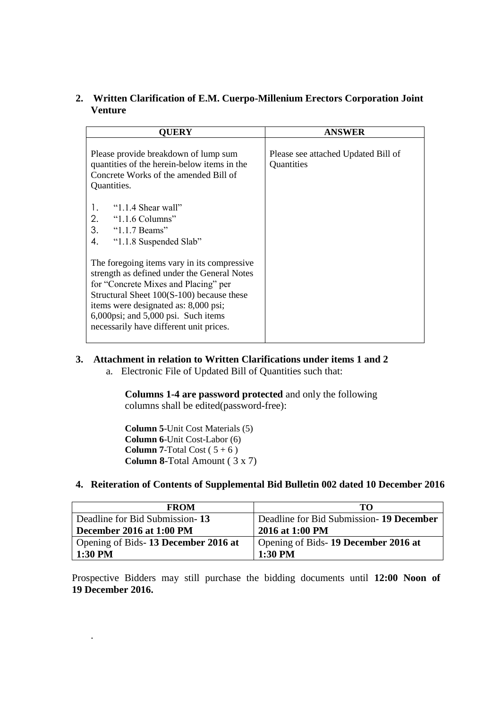## **2. Written Clarification of E.M. Cuerpo-Millenium Erectors Corporation Joint Venture**

| OUERY                                                                                                                                                                                                                                                                                                     | <b>ANSWER</b>                                     |
|-----------------------------------------------------------------------------------------------------------------------------------------------------------------------------------------------------------------------------------------------------------------------------------------------------------|---------------------------------------------------|
| Please provide breakdown of lump sum<br>quantities of the herein-below items in the<br>Concrete Works of the amended Bill of<br>Quantities.                                                                                                                                                               | Please see attached Updated Bill of<br>Quantities |
| " $1.1.4$ Shear wall"<br>1.<br>2.<br>"1.1.6 Columns"<br>3.<br>" $1.1.7$ Beams"<br>4.<br>"1.1.8 Suspended Slab"                                                                                                                                                                                            |                                                   |
| The foregoing items vary in its compressive<br>strength as defined under the General Notes<br>for "Concrete Mixes and Placing" per<br>Structural Sheet 100(S-100) because these<br>items were designated as: 8,000 psi;<br>6,000psi; and 5,000 psi. Such items<br>necessarily have different unit prices. |                                                   |

## **3. Attachment in relation to Written Clarifications under items 1 and 2**

a. Electronic File of Updated Bill of Quantities such that:

**Columns 1-4 are password protected** and only the following columns shall be edited(password-free):

**Column 5**-Unit Cost Materials (5) **Column 6**-Unit Cost-Labor (6) **Column 7-Total Cost** ( $5 + 6$ ) **Column 8**-Total Amount ( 3 x 7)

.

## **4. Reiteration of Contents of Supplemental Bid Bulletin 002 dated 10 December 2016**

| <b>FROM</b>                         | TO.                                       |
|-------------------------------------|-------------------------------------------|
| Deadline for Bid Submission-13      | Deadline for Bid Submission - 19 December |
| December 2016 at 1:00 PM            | 2016 at 1:00 PM                           |
| Opening of Bids-13 December 2016 at | Opening of Bids-19 December 2016 at       |
| 1:30 PM                             | $1:30$ PM                                 |

Prospective Bidders may still purchase the bidding documents until **12:00 Noon of 19 December 2016.**